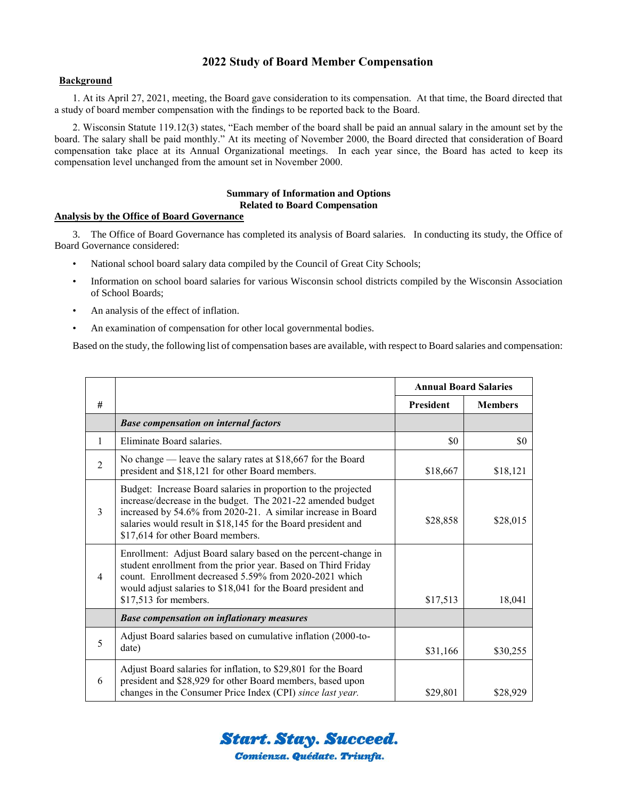# **2022 Study of Board Member Compensation**

### **Background**

1. At its April 27, 2021, meeting, the Board gave consideration to its compensation. At that time, the Board directed that a study of board member compensation with the findings to be reported back to the Board.

2. Wisconsin Statute 119.12(3) states, "Each member of the board shall be paid an annual salary in the amount set by the board. The salary shall be paid monthly." At its meeting of November 2000, the Board directed that consideration of Board compensation take place at its Annual Organizational meetings. In each year since, the Board has acted to keep its compensation level unchanged from the amount set in November 2000.

### **Summary of Information and Options Related to Board Compensation**

### **Analysis by the Office of Board Governance**

3. The Office of Board Governance has completed its analysis of Board salaries. In conducting its study, the Office of Board Governance considered:

- National school board salary data compiled by the Council of Great City Schools;
- Information on school board salaries for various Wisconsin school districts compiled by the Wisconsin Association of School Boards;
- An analysis of the effect of inflation.
- An examination of compensation for other local governmental bodies.

Based on the study, the following list of compensation bases are available, with respect to Board salaries and compensation:

|                |                                                                                                                                                                                                                                                                                                     | <b>Annual Board Salaries</b> |                |
|----------------|-----------------------------------------------------------------------------------------------------------------------------------------------------------------------------------------------------------------------------------------------------------------------------------------------------|------------------------------|----------------|
| #              |                                                                                                                                                                                                                                                                                                     | <b>President</b>             | <b>Members</b> |
|                | <b>Base compensation on internal factors</b>                                                                                                                                                                                                                                                        |                              |                |
| 1              | Eliminate Board salaries.                                                                                                                                                                                                                                                                           | \$0                          | \$0            |
| $\mathfrak{D}$ | No change — leave the salary rates at $$18,667$ for the Board<br>president and \$18,121 for other Board members.                                                                                                                                                                                    | \$18,667                     | \$18,121       |
| $\mathcal{E}$  | Budget: Increase Board salaries in proportion to the projected<br>increase/decrease in the budget. The 2021-22 amended budget<br>increased by 54.6% from 2020-21. A similar increase in Board<br>salaries would result in \$18,145 for the Board president and<br>\$17,614 for other Board members. | \$28,858                     | \$28,015       |
| $\overline{4}$ | Enrollment: Adjust Board salary based on the percent-change in<br>student enrollment from the prior year. Based on Third Friday<br>count. Enrollment decreased 5.59% from 2020-2021 which<br>would adjust salaries to \$18,041 for the Board president and<br>\$17,513 for members.                 | \$17,513                     | 18,041         |
|                | <b>Base compensation on inflationary measures</b>                                                                                                                                                                                                                                                   |                              |                |
| 5              | Adjust Board salaries based on cumulative inflation (2000-to-<br>date)                                                                                                                                                                                                                              | \$31,166                     | \$30,255       |
| 6              | Adjust Board salaries for inflation, to \$29,801 for the Board<br>president and \$28,929 for other Board members, based upon<br>changes in the Consumer Price Index (CPI) since last year.                                                                                                          | \$29,801                     | \$28,929       |

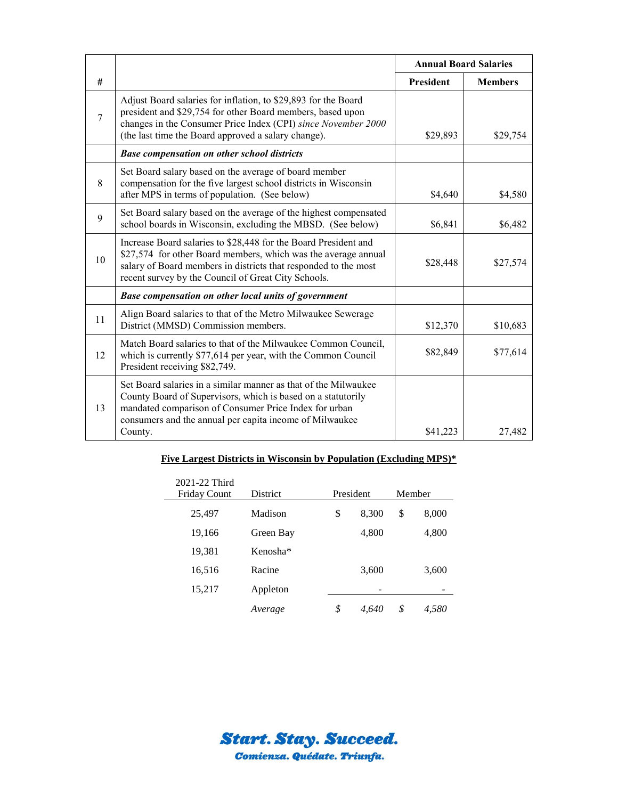|                |                                                                                                                                                                                                                                                                | <b>Annual Board Salaries</b> |                |
|----------------|----------------------------------------------------------------------------------------------------------------------------------------------------------------------------------------------------------------------------------------------------------------|------------------------------|----------------|
| #              |                                                                                                                                                                                                                                                                | President                    | <b>Members</b> |
| $\overline{7}$ | Adjust Board salaries for inflation, to \$29,893 for the Board<br>president and \$29,754 for other Board members, based upon<br>changes in the Consumer Price Index (CPI) since November 2000<br>(the last time the Board approved a salary change).           | \$29,893                     | \$29,754       |
|                | <b>Base compensation on other school districts</b>                                                                                                                                                                                                             |                              |                |
| 8              | Set Board salary based on the average of board member<br>compensation for the five largest school districts in Wisconsin<br>after MPS in terms of population. (See below)                                                                                      | \$4,640                      | \$4,580        |
| 9              | Set Board salary based on the average of the highest compensated<br>school boards in Wisconsin, excluding the MBSD. (See below)                                                                                                                                | \$6,841                      | \$6,482        |
| 10             | Increase Board salaries to \$28,448 for the Board President and<br>\$27,574 for other Board members, which was the average annual<br>salary of Board members in districts that responded to the most<br>recent survey by the Council of Great City Schools.    | \$28,448                     | \$27,574       |
|                | Base compensation on other local units of government                                                                                                                                                                                                           |                              |                |
| 11             | Align Board salaries to that of the Metro Milwaukee Sewerage<br>District (MMSD) Commission members.                                                                                                                                                            | \$12,370                     | \$10,683       |
| 12             | Match Board salaries to that of the Milwaukee Common Council,<br>which is currently \$77,614 per year, with the Common Council<br>President receiving \$82,749.                                                                                                | \$82,849                     | \$77,614       |
| 13             | Set Board salaries in a similar manner as that of the Milwaukee<br>County Board of Supervisors, which is based on a statutorily<br>mandated comparison of Consumer Price Index for urban<br>consumers and the annual per capita income of Milwaukee<br>County. | \$41,223                     | 27,482         |

# **Five Largest Districts in Wisconsin by Population (Excluding MPS)\***

| 2021-22 Third<br><b>Friday Count</b> | <b>District</b>      | President |       | Member |       |
|--------------------------------------|----------------------|-----------|-------|--------|-------|
| 25,497                               | Madison              | \$        | 8,300 | \$     | 8,000 |
| 19,166                               | Green Bay            |           | 4,800 |        | 4,800 |
| 19,381                               | Kenosha <sup>*</sup> |           |       |        |       |
| 16,516                               | Racine               |           | 3,600 |        | 3,600 |
| 15,217                               | Appleton             |           |       |        |       |
|                                      | Average              | \$        | 4.640 | \$     | 4.580 |